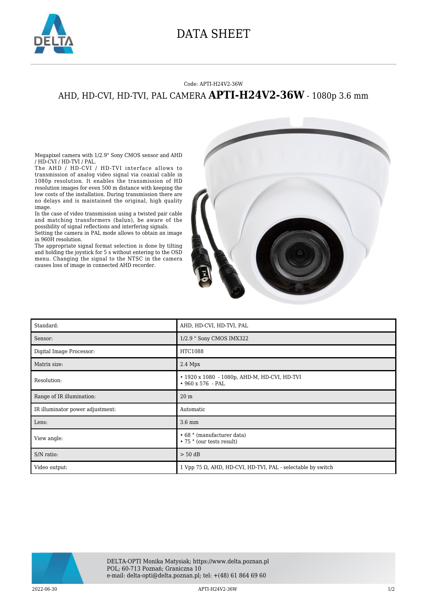

## DATA SHEET

## Code: APTI-H24V2-36W AHD, HD-CVI, HD-TVI, PAL CAMERA **APTI-H24V2-36W** - 1080p 3.6 mm

Megapixel camera with 1/2.9" Sony CMOS sensor and AHD / HD-CVI / HD-TVI / PAL.

The AHD / HD-CVI / HD-TVI interface allows to transmission of analog video signal via coaxial cable in 1080p resolution. It enables the transmission of HD resolution images for even 500 m distance with keeping the low costs of the installation. During transmission there are no delays and is maintained the original, high quality image.

In the case of video transmission using a twisted pair cable and matching transformers (balun), be aware of the possibility of signal reflections and interfering signals.

Setting the camera in PAL mode allows to obtain an image in 960H resolution.

The appropriate signal format selection is done by tilting and holding the joystick for 5 s without entering to the OSD menu. Changing the signal to the NTSC in the camera causes loss of image in connected AHD recorder.



| Standard:                        | AHD, HD-CVI, HD-TVI, PAL                                                |
|----------------------------------|-------------------------------------------------------------------------|
| Sensor:                          | 1/2.9 " Sony CMOS IMX322                                                |
| Digital Image Processor:         | HTC1088                                                                 |
| Matrix size:                     | $2.4$ Mpx                                                               |
| Resolution:                      | • 1920 x 1080 - 1080p, AHD-M, HD-CVI, HD-TVI<br>$\cdot$ 960 x 576 - PAL |
| Range of IR illumination:        | 20 <sub>m</sub>                                                         |
| IR illuminator power adjustment: | Automatic                                                               |
| Lens:                            | 3.6 mm                                                                  |
| View angle:                      | • 68 ° (manufacturer data)<br>• 75 ° (our tests result)                 |
| S/N ratio:                       | $> 50$ dB                                                               |
| Video output:                    | 1 Vpp 75 $\Omega$ , AHD, HD-CVI, HD-TVI, PAL - selectable by switch     |



2022-06-30 APTI-H24V2-36W 1/2